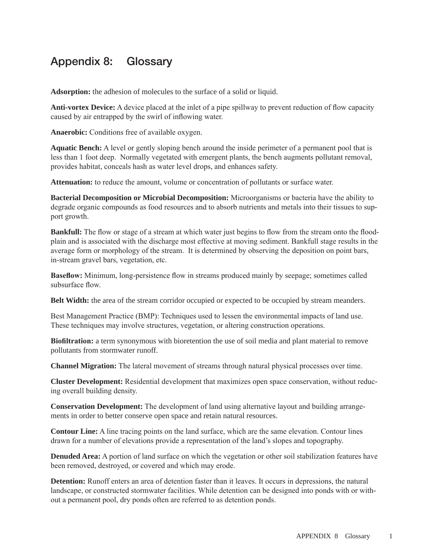## Appendix 8: Glossary

**Adsorption:** the adhesion of molecules to the surface of a solid or liquid.

**Anti-vortex Device:** A device placed at the inlet of a pipe spillway to prevent reduction of flow capacity caused by air entrapped by the swirl of inflowing water.

**Anaerobic:** Conditions free of available oxygen.

**Aquatic Bench:** A level or gently sloping bench around the inside perimeter of a permanent pool that is less than 1 foot deep. Normally vegetated with emergent plants, the bench augments pollutant removal, provides habitat, conceals hash as water level drops, and enhances safety.

**Attenuation:** to reduce the amount, volume or concentration of pollutants or surface water.

**Bacterial Decomposition or Microbial Decomposition:** Microorganisms or bacteria have the ability to degrade organic compounds as food resources and to absorb nutrients and metals into their tissues to support growth.

**Bankfull:** The flow or stage of a stream at which water just begins to flow from the stream onto the floodplain and is associated with the discharge most effective at moving sediment. Bankfull stage results in the average form or morphology of the stream. It is determined by observing the deposition on point bars, in-stream gravel bars, vegetation, etc.

**Baseflow:** Minimum, long-persistence flow in streams produced mainly by seepage; sometimes called subsurface flow.

**Belt Width:** the area of the stream corridor occupied or expected to be occupied by stream meanders.

Best Management Practice (BMP): Techniques used to lessen the environmental impacts of land use. These techniques may involve structures, vegetation, or altering construction operations.

**Biofiltration:** a term synonymous with bioretention the use of soil media and plant material to remove pollutants from stormwater runoff.

**Channel Migration:** The lateral movement of streams through natural physical processes over time.

**Cluster Development:** Residential development that maximizes open space conservation, without reducing overall building density.

**Conservation Development:** The development of land using alternative layout and building arrangements in order to better conserve open space and retain natural resources.

**Contour Line:** A line tracing points on the land surface, which are the same elevation. Contour lines drawn for a number of elevations provide a representation of the land's slopes and topography.

**Denuded Area:** A portion of land surface on which the vegetation or other soil stabilization features have been removed, destroyed, or covered and which may erode.

**Detention:** Runoff enters an area of detention faster than it leaves. It occurs in depressions, the natural landscape, or constructed stormwater facilities. While detention can be designed into ponds with or without a permanent pool, dry ponds often are referred to as detention ponds.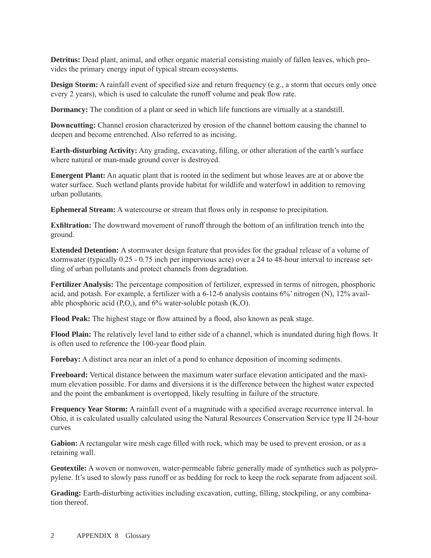**Detritus:** Dead plant, animal, and other organic material consisting mainly of fallen leaves, which provides the primary energy input of typical stream ecosystems.

**Design Storm:** A rainfall event of specified size and return frequency (e.g., a storm that occurs only once every 2 years), which is used to calculate the runoff volume and peak flow rate.

**Dormancy:** The condition of a plant or seed in which life functions are virtually at a standstill.

**Downcutting:** Channel erosion characterized by erosion of the channel bottom causing the channel to deepen and become entrenched. Also referred to as incising.

**Earth-disturbing Activity:** Any grading, excavating, filling, or other alteration of the earth's surface where natural or man-made ground cover is destroyed.

**Emergent Plant:** An aquatic plant that is rooted in the sediment but whose leaves are at or above the water surface. Such wetland plants provide habitat for wildlife and waterfowl in addition to removing urban pollutants.

**Ephemeral Stream:** A watercourse or stream that flows only in response to precipitation.

**Exfiltration:** The downward movement of runoff through the bottom of an infiltration trench into the ground.

**Extended Detention:** A stormwater design feature that provides for the gradual release of a volume of stormwater (typically 0.25 - 0.75 inch per impervious acre) over a 24 to 48-hour interval to increase settling of urban pollutants and protect channels from degradation.

**Fertilizer Analysis:** The percentage composition of fertilizer, expressed in terms of nitrogen, phosphoric acid, and potash. For example, a fertilizer with a 6-12-6 analysis contains 6%' nitrogen (N), 12% available phosphoric acid  $(P, O)$ , and  $6\%$  water-soluble potash  $(K, O)$ .

**Flood Peak:** The highest stage or flow attained by a flood, also known as peak stage.

**Flood Plain:** The relatively level land to either side of a channel, which is inundated during high flows. It is often used to reference the 100-year flood plain.

**Forebay:** A distinct area near an inlet of a pond to enhance deposition of incoming sediments.

**Freeboard:** Vertical distance between the maximum water surface elevation anticipated and the maximum elevation possible. For dams and diversions it is the difference between the highest water expected and the point the embankment is overtopped, likely resulting in failure of the structure.

**Frequency Year Storm:** A rainfall event of a magnitude with a specified average recurrence interval. In Ohio, it is calculated usually calculated using the Natural Resources Conservation Service type II 24-hour curves

**Gabion:** A rectangular wire mesh cage filled with rock, which may be used to prevent erosion, or as a retaining wall.

**Geotextile:** A woven or nonwoven, water-permeable fabric generally made of synthetics such as polypropylene. It's used to slowly pass runoff or as bedding for rock to keep the rock separate from adjacent soil.

**Grading:** Earth-disturbing activities including excavation, cutting, filling, stockpiling, or any combination thereof.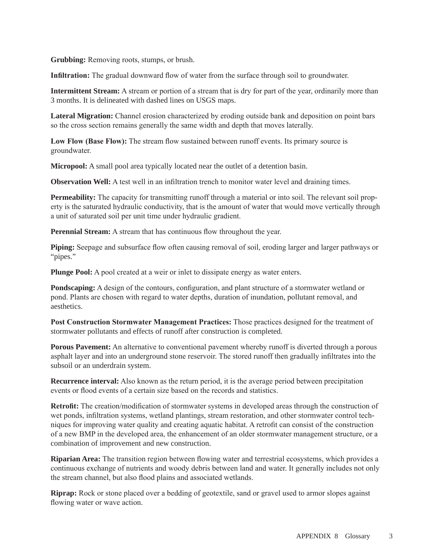**Grubbing:** Removing roots, stumps, or brush.

**Infiltration:** The gradual downward flow of water from the surface through soil to groundwater.

**Intermittent Stream:** A stream or portion of a stream that is dry for part of the year, ordinarily more than 3 months. It is delineated with dashed lines on USGS maps.

**Lateral Migration:** Channel erosion characterized by eroding outside bank and deposition on point bars so the cross section remains generally the same width and depth that moves laterally.

Low Flow (Base Flow): The stream flow sustained between runoff events. Its primary source is groundwater.

**Micropool:** A small pool area typically located near the outlet of a detention basin.

**Observation Well:** A test well in an infiltration trench to monitor water level and draining times.

**Permeability:** The capacity for transmitting runoff through a material or into soil. The relevant soil property is the saturated hydraulic conductivity, that is the amount of water that would move vertically through a unit of saturated soil per unit time under hydraulic gradient.

**Perennial Stream:** A stream that has continuous flow throughout the year.

**Piping:** Seepage and subsurface flow often causing removal of soil, eroding larger and larger pathways or "pipes."

**Plunge Pool:** A pool created at a weir or inlet to dissipate energy as water enters.

**Pondscaping:** A design of the contours, configuration, and plant structure of a stormwater wetland or pond. Plants are chosen with regard to water depths, duration of inundation, pollutant removal, and aesthetics.

**Post Construction Stormwater Management Practices:** Those practices designed for the treatment of stormwater pollutants and effects of runoff after construction is completed.

**Porous Pavement:** An alternative to conventional pavement whereby runoff is diverted through a porous asphalt layer and into an underground stone reservoir. The stored runoff then gradually infiltrates into the subsoil or an underdrain system.

**Recurrence interval:** Also known as the return period, it is the average period between precipitation events or flood events of a certain size based on the records and statistics.

**Retrofit:** The creation/modification of stormwater systems in developed areas through the construction of wet ponds, infiltration systems, wetland plantings, stream restoration, and other stormwater control techniques for improving water quality and creating aquatic habitat. A retrofit can consist of the construction of a new BMP in the developed area, the enhancement of an older stormwater management structure, or a combination of improvement and new construction.

**Riparian Area:** The transition region between flowing water and terrestrial ecosystems, which provides a continuous exchange of nutrients and woody debris between land and water. It generally includes not only the stream channel, but also flood plains and associated wetlands.

**Riprap:** Rock or stone placed over a bedding of geotextile, sand or gravel used to armor slopes against flowing water or wave action.